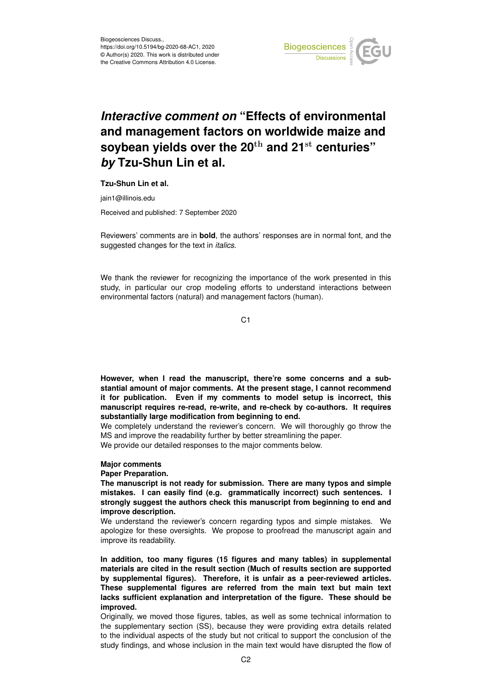

# *Interactive comment on* **"Effects of environmental and management factors on worldwide maize and soybean yields over the 20**th **and 21**st **centuries"** *by* **Tzu-Shun Lin et al.**

## **Tzu-Shun Lin et al.**

jain1@illinois.edu

Received and published: 7 September 2020

Reviewers' comments are in **bold**, the authors' responses are in normal font, and the suggested changes for the text in *italics*.

We thank the reviewer for recognizing the importance of the work presented in this study, in particular our crop modeling efforts to understand interactions between environmental factors (natural) and management factors (human).

C<sub>1</sub>

**However, when I read the manuscript, there're some concerns and a substantial amount of major comments. At the present stage, I cannot recommend it for publication. Even if my comments to model setup is incorrect, this manuscript requires re-read, re-write, and re-check by co-authors. It requires substantially large modification from beginning to end.**

We completely understand the reviewer's concern. We will thoroughly go throw the MS and improve the readability further by better streamlining the paper. We provide our detailed responses to the major comments below.

#### **Major comments**

### **Paper Preparation.**

**The manuscript is not ready for submission. There are many typos and simple mistakes. I can easily find (e.g. grammatically incorrect) such sentences. I strongly suggest the authors check this manuscript from beginning to end and improve description.**

We understand the reviewer's concern regarding typos and simple mistakes. We apologize for these oversights. We propose to proofread the manuscript again and improve its readability.

**In addition, too many figures (15 figures and many tables) in supplemental materials are cited in the result section (Much of results section are supported by supplemental figures). Therefore, it is unfair as a peer-reviewed articles. These supplemental figures are referred from the main text but main text lacks sufficient explanation and interpretation of the figure. These should be improved.**

Originally, we moved those figures, tables, as well as some technical information to the supplementary section (SS), because they were providing extra details related to the individual aspects of the study but not critical to support the conclusion of the study findings, and whose inclusion in the main text would have disrupted the flow of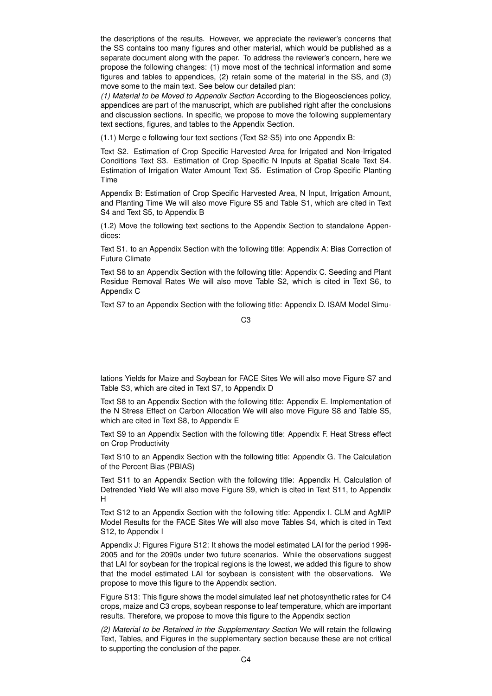the descriptions of the results. However, we appreciate the reviewer's concerns that the SS contains too many figures and other material, which would be published as a separate document along with the paper. To address the reviewer's concern, here we propose the following changes: (1) move most of the technical information and some figures and tables to appendices, (2) retain some of the material in the SS, and (3) move some to the main text. See below our detailed plan:

*(1) Material to be Moved to Appendix Section* According to the Biogeosciences policy, appendices are part of the manuscript, which are published right after the conclusions and discussion sections. In specific, we propose to move the following supplementary text sections, figures, and tables to the Appendix Section.

(1.1) Merge e following four text sections (Text S2-S5) into one Appendix B:

Text S2. Estimation of Crop Specific Harvested Area for Irrigated and Non-Irrigated Conditions Text S3. Estimation of Crop Specific N Inputs at Spatial Scale Text S4. Estimation of Irrigation Water Amount Text S5. Estimation of Crop Specific Planting Time

Appendix B: Estimation of Crop Specific Harvested Area, N Input, Irrigation Amount, and Planting Time We will also move Figure S5 and Table S1, which are cited in Text S4 and Text S5, to Appendix B

(1.2) Move the following text sections to the Appendix Section to standalone Appendices:

Text S1. to an Appendix Section with the following title: Appendix A: Bias Correction of Future Climate

Text S6 to an Appendix Section with the following title: Appendix C. Seeding and Plant Residue Removal Rates We will also move Table S2, which is cited in Text S6, to Appendix C

Text S7 to an Appendix Section with the following title: Appendix D. ISAM Model Simu-

C3

lations Yields for Maize and Soybean for FACE Sites We will also move Figure S7 and Table S3, which are cited in Text S7, to Appendix D

Text S8 to an Appendix Section with the following title: Appendix E. Implementation of the N Stress Effect on Carbon Allocation We will also move Figure S8 and Table S5, which are cited in Text S8, to Appendix E

Text S9 to an Appendix Section with the following title: Appendix F. Heat Stress effect on Crop Productivity

Text S10 to an Appendix Section with the following title: Appendix G. The Calculation of the Percent Bias (PBIAS)

Text S11 to an Appendix Section with the following title: Appendix H. Calculation of Detrended Yield We will also move Figure S9, which is cited in Text S11, to Appendix H

Text S12 to an Appendix Section with the following title: Appendix I. CLM and AgMIP Model Results for the FACE Sites We will also move Tables S4, which is cited in Text S12, to Appendix I

Appendix J: Figures Figure S12: It shows the model estimated LAI for the period 1996- 2005 and for the 2090s under two future scenarios. While the observations suggest that LAI for soybean for the tropical regions is the lowest, we added this figure to show that the model estimated LAI for soybean is consistent with the observations. We propose to move this figure to the Appendix section.

Figure S13: This figure shows the model simulated leaf net photosynthetic rates for C4 crops, maize and C3 crops, soybean response to leaf temperature, which are important results. Therefore, we propose to move this figure to the Appendix section

*(2) Material to be Retained in the Supplementary Section* We will retain the following Text, Tables, and Figures in the supplementary section because these are not critical to supporting the conclusion of the paper.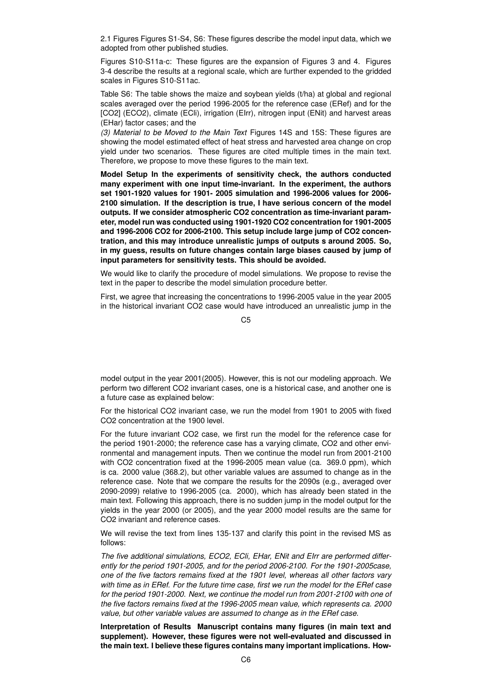2.1 Figures Figures S1-S4, S6: These figures describe the model input data, which we adopted from other published studies.

Figures S10-S11a-c: These figures are the expansion of Figures 3 and 4. Figures 3-4 describe the results at a regional scale, which are further expended to the gridded scales in Figures S10-S11ac.

Table S6: The table shows the maize and soybean yields (t/ha) at global and regional scales averaged over the period 1996-2005 for the reference case (ERef) and for the [CO2] (ECO2), climate (ECli), irrigation (EIrr), nitrogen input (ENit) and harvest areas (EHar) factor cases; and the

*(3) Material to be Moved to the Main Text* Figures 14S and 15S: These figures are showing the model estimated effect of heat stress and harvested area change on crop yield under two scenarios. These figures are cited multiple times in the main text. Therefore, we propose to move these figures to the main text.

**Model Setup In the experiments of sensitivity check, the authors conducted many experiment with one input time-invariant. In the experiment, the authors set 1901-1920 values for 1901- 2005 simulation and 1996-2006 values for 2006- 2100 simulation. If the description is true, I have serious concern of the model outputs. If we consider atmospheric CO2 concentration as time-invariant parameter, model run was conducted using 1901-1920 CO2 concentration for 1901-2005 and 1996-2006 CO2 for 2006-2100. This setup include large jump of CO2 concentration, and this may introduce unrealistic jumps of outputs s around 2005. So, in my guess, results on future changes contain large biases caused by jump of input parameters for sensitivity tests. This should be avoided.**

We would like to clarify the procedure of model simulations. We propose to revise the text in the paper to describe the model simulation procedure better.

First, we agree that increasing the concentrations to 1996-2005 value in the year 2005 in the historical invariant CO2 case would have introduced an unrealistic jump in the

C5

model output in the year 2001(2005). However, this is not our modeling approach. We perform two different CO2 invariant cases, one is a historical case, and another one is a future case as explained below:

For the historical CO2 invariant case, we run the model from 1901 to 2005 with fixed CO2 concentration at the 1900 level.

For the future invariant CO2 case, we first run the model for the reference case for the period 1901-2000; the reference case has a varying climate, CO2 and other environmental and management inputs. Then we continue the model run from 2001-2100 with CO2 concentration fixed at the 1996-2005 mean value (ca. 369.0 ppm), which is ca. 2000 value (368.2), but other variable values are assumed to change as in the reference case. Note that we compare the results for the 2090s (e.g., averaged over 2090-2099) relative to 1996-2005 (ca. 2000), which has already been stated in the main text. Following this approach, there is no sudden jump in the model output for the yields in the year 2000 (or 2005), and the year 2000 model results are the same for CO2 invariant and reference cases.

We will revise the text from lines 135-137 and clarify this point in the revised MS as follows:

*The five additional simulations, ECO2, ECli, EHar, ENit and EIrr are performed differently for the period 1901-2005, and for the period 2006-2100. For the 1901-2005case, one of the five factors remains fixed at the 1901 level, whereas all other factors vary with time as in ERef. For the future time case, first we run the model for the ERef case for the period 1901-2000. Next, we continue the model run from 2001-2100 with one of the five factors remains fixed at the 1996-2005 mean value, which represents ca. 2000 value, but other variable values are assumed to change as in the ERef case.*

**Interpretation of Results Manuscript contains many figures (in main text and supplement). However, these figures were not well-evaluated and discussed in the main text. I believe these figures contains many important implications. How-**